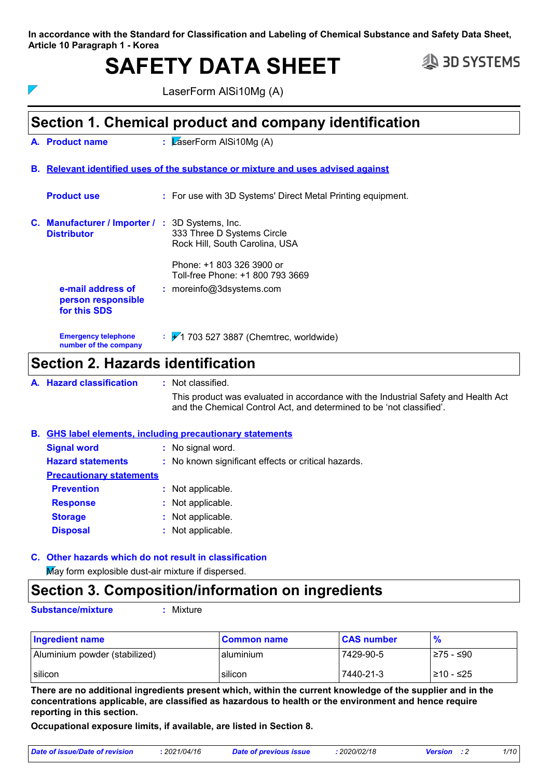**In accordance with the Standard for Classification and Labeling of Chemical Substance and Safety Data Sheet, Article 10 Paragraph 1 - Korea**

# SAFETY DATA SHEET **SAFETY** DATA SHEET

 $\overline{\phantom{a}}$ 

LaserForm AlSi10Mg (A)

### **Section 1. Chemical product and company identification**

**L**aserForm AlSi10Mg (A) **Product name A.**

#### **Relevant identified uses of the substance or mixture and uses advised against B.**

| <b>Product use</b>                                                           | : For use with 3D Systems' Direct Metal Printing equipment.                                 |
|------------------------------------------------------------------------------|---------------------------------------------------------------------------------------------|
| <b>C. Manufacturer / Importer / : 3D Systems, Inc.</b><br><b>Distributor</b> | 333 Three D Systems Circle<br>Rock Hill, South Carolina, USA                                |
| e-mail address of<br>person responsible<br>for this SDS                      | Phone: +1 803 326 3900 or<br>Toll-free Phone: +1 800 793 3669<br>$:$ moreinfo@3dsystems.com |
| <b>Emergency telephone</b><br>number of the company                          | $\div$ + 1 703 527 3887 (Chemtrec, worldwide)                                               |

### **Section 2. Hazards identification**

**Hazard classification :** Not classified. **A.**

This product was evaluated in accordance with the Industrial Safety and Health Act and the Chemical Control Act, and determined to be 'not classified'.

#### **Signal word :** No signal word. **Hazard statements :** No known significant effects or critical hazards. **GHS label elements, including precautionary statements B.**

| <b>Precautionary statements</b> |                   |  |
|---------------------------------|-------------------|--|
| <b>Prevention</b>               | : Not applicable. |  |
| <b>Response</b>                 | : Not applicable. |  |
| <b>Storage</b>                  | : Not applicable. |  |
| <b>Disposal</b>                 | : Not applicable. |  |

## **Other hazards which do not result in classification C.**

May form explosible dust-air mixture if dispersed.

#### **Section 3. Composition/information on ingredients**

**Substance/mixture :**

Mixture

| <b>Ingredient name</b>        | l Common name | <b>CAS number</b> | $\frac{9}{6}$ |
|-------------------------------|---------------|-------------------|---------------|
| Aluminium powder (stabilized) | l aluminium   | 7429-90-5         | l≥75 - ≤90    |
| silicon                       | l silicon     | 7440-21-3         | l≥10 - ≤25    |

**There are no additional ingredients present which, within the current knowledge of the supplier and in the concentrations applicable, are classified as hazardous to health or the environment and hence require reporting in this section.**

**Occupational exposure limits, if available, are listed in Section 8.**

| Date of issue/Date of revision | 2021/04/16 | Date of previous issue | : 2020/02/18 | <b>Version</b> | 1/10 |
|--------------------------------|------------|------------------------|--------------|----------------|------|
|                                |            |                        |              |                |      |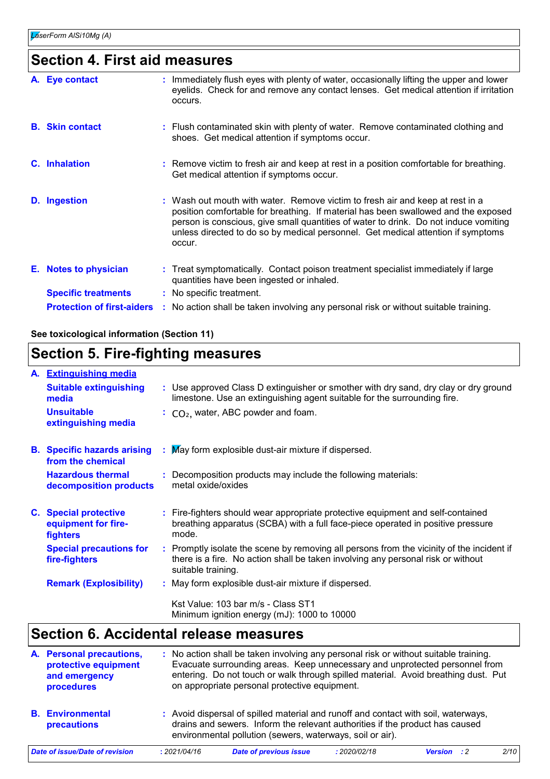### **Section 4. First aid measures**

| A. Eye contact                    | : Immediately flush eyes with plenty of water, occasionally lifting the upper and lower<br>eyelids. Check for and remove any contact lenses. Get medical attention if irritation<br>occurs.                                                                                                                                                               |
|-----------------------------------|-----------------------------------------------------------------------------------------------------------------------------------------------------------------------------------------------------------------------------------------------------------------------------------------------------------------------------------------------------------|
| <b>B.</b> Skin contact            | : Flush contaminated skin with plenty of water. Remove contaminated clothing and<br>shoes. Get medical attention if symptoms occur.                                                                                                                                                                                                                       |
| C. Inhalation                     | : Remove victim to fresh air and keep at rest in a position comfortable for breathing.<br>Get medical attention if symptoms occur.                                                                                                                                                                                                                        |
| D. Ingestion                      | : Wash out mouth with water. Remove victim to fresh air and keep at rest in a<br>position comfortable for breathing. If material has been swallowed and the exposed<br>person is conscious, give small quantities of water to drink. Do not induce vomiting<br>unless directed to do so by medical personnel. Get medical attention if symptoms<br>occur. |
| E. Notes to physician             | : Treat symptomatically. Contact poison treatment specialist immediately if large<br>quantities have been ingested or inhaled.                                                                                                                                                                                                                            |
| <b>Specific treatments</b>        | : No specific treatment.                                                                                                                                                                                                                                                                                                                                  |
| <b>Protection of first-aiders</b> | : No action shall be taken involving any personal risk or without suitable training.                                                                                                                                                                                                                                                                      |
|                                   |                                                                                                                                                                                                                                                                                                                                                           |

#### **See toxicological information (Section 11)**

### **Section 5. Fire-fighting measures**

| A. Extinguishing media                                          |                                                                                                                                                                                                     |
|-----------------------------------------------------------------|-----------------------------------------------------------------------------------------------------------------------------------------------------------------------------------------------------|
| <b>Suitable extinguishing</b><br>media                          | : Use approved Class D extinguisher or smother with dry sand, dry clay or dry ground<br>limestone. Use an extinguishing agent suitable for the surrounding fire.                                    |
| <b>Unsuitable</b><br>extinguishing media                        | $\therefore$ CO <sub>2</sub> , water, ABC powder and foam.                                                                                                                                          |
| <b>B.</b> Specific hazards arising<br>from the chemical         | May form explosible dust-air mixture if dispersed.                                                                                                                                                  |
| <b>Hazardous thermal</b><br>decomposition products              | : Decomposition products may include the following materials:<br>metal oxide/oxides                                                                                                                 |
| <b>C.</b> Special protective<br>equipment for fire-<br>fighters | : Fire-fighters should wear appropriate protective equipment and self-contained<br>breathing apparatus (SCBA) with a full face-piece operated in positive pressure<br>mode.                         |
| <b>Special precautions for</b><br>fire-fighters                 | : Promptly isolate the scene by removing all persons from the vicinity of the incident if<br>there is a fire. No action shall be taken involving any personal risk or without<br>suitable training. |
| <b>Remark (Explosibility)</b>                                   | : May form explosible dust-air mixture if dispersed.                                                                                                                                                |
|                                                                 | Kst Value: 103 bar m/s - Class ST1<br>Minimum ignition energy (mJ): 1000 to 10000                                                                                                                   |

### **Section 6. Accidental release measures**

| A. Personal precautions,<br>protective equipment<br>and emergency<br>procedures |              | : No action shall be taken involving any personal risk or without suitable training.<br>Evacuate surrounding areas. Keep unnecessary and unprotected personnel from<br>entering. Do not touch or walk through spilled material. Avoid breathing dust. Put<br>on appropriate personal protective equipment. |              |                    |      |
|---------------------------------------------------------------------------------|--------------|------------------------------------------------------------------------------------------------------------------------------------------------------------------------------------------------------------------------------------------------------------------------------------------------------------|--------------|--------------------|------|
| <b>B.</b> Environmental<br>precautions                                          |              | : Avoid dispersal of spilled material and runoff and contact with soil, waterways,<br>drains and sewers. Inform the relevant authorities if the product has caused<br>environmental pollution (sewers, waterways, soil or air).                                                                            |              |                    |      |
| Date of issue/Date of revision                                                  | : 2021/04/16 | <b>Date of previous issue</b>                                                                                                                                                                                                                                                                              | : 2020/02/18 | <b>Version</b> : 2 | 2/10 |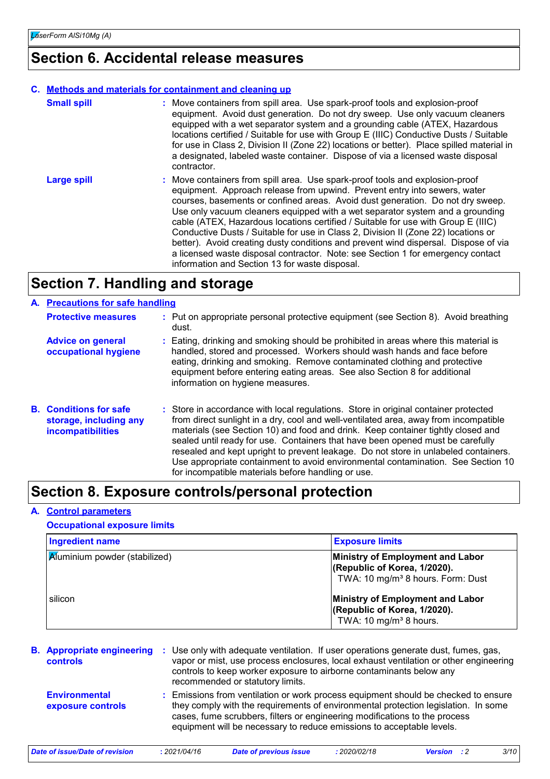#### **Section 6. Accidental release measures**

#### **C. Methods and materials for containment and cleaning up**

| <b>Small spill</b> | : Move containers from spill area. Use spark-proof tools and explosion-proof<br>equipment. Avoid dust generation. Do not dry sweep. Use only vacuum cleaners<br>equipped with a wet separator system and a grounding cable (ATEX, Hazardous<br>locations certified / Suitable for use with Group E (IIIC) Conductive Dusts / Suitable<br>for use in Class 2, Division II (Zone 22) locations or better). Place spilled material in<br>a designated, labeled waste container. Dispose of via a licensed waste disposal<br>contractor.                                                                                                                                                                                                |
|--------------------|-------------------------------------------------------------------------------------------------------------------------------------------------------------------------------------------------------------------------------------------------------------------------------------------------------------------------------------------------------------------------------------------------------------------------------------------------------------------------------------------------------------------------------------------------------------------------------------------------------------------------------------------------------------------------------------------------------------------------------------|
| <b>Large spill</b> | : Move containers from spill area. Use spark-proof tools and explosion-proof<br>equipment. Approach release from upwind. Prevent entry into sewers, water<br>courses, basements or confined areas. Avoid dust generation. Do not dry sweep.<br>Use only vacuum cleaners equipped with a wet separator system and a grounding<br>cable (ATEX, Hazardous locations certified / Suitable for use with Group E (IIIC)<br>Conductive Dusts / Suitable for use in Class 2, Division II (Zone 22) locations or<br>better). Avoid creating dusty conditions and prevent wind dispersal. Dispose of via<br>a licensed waste disposal contractor. Note: see Section 1 for emergency contact<br>information and Section 13 for waste disposal. |

### **Section 7. Handling and storage**

#### **Protective measures B.** Conditions for safe **storage, including any incompatibilities** Put on appropriate personal protective equipment (see Section 8). Avoid breathing **:** dust. Store in accordance with local regulations. Store in original container protected **:** from direct sunlight in a dry, cool and well-ventilated area, away from incompatible materials (see Section 10) and food and drink. Keep container tightly closed and sealed until ready for use. Containers that have been opened must be carefully resealed and kept upright to prevent leakage. Do not store in unlabeled containers. Use appropriate containment to avoid environmental contamination. See Section 10 for incompatible materials before handling or use. **A. Precautions for safe handling Advice on general occupational hygiene :** Eating, drinking and smoking should be prohibited in areas where this material is handled, stored and processed. Workers should wash hands and face before eating, drinking and smoking. Remove contaminated clothing and protective equipment before entering eating areas. See also Section 8 for additional information on hygiene measures.

#### **Section 8. Exposure controls/personal protection**

#### **A. Control parameters**

#### **Occupational exposure limits**

| <b>Ingredient name</b>               | <b>Exposure limits</b>                                                                                            |
|--------------------------------------|-------------------------------------------------------------------------------------------------------------------|
| <b>A</b> uminium powder (stabilized) | Ministry of Employment and Labor<br>(Republic of Korea, 1/2020).<br>TWA: 10 mg/m <sup>3</sup> 8 hours. Form: Dust |
| silicon                              | Ministry of Employment and Labor<br>(Republic of Korea, 1/2020).<br>TWA: 10 mg/m <sup>3</sup> 8 hours.            |

| <b>B.</b> Appropriate engineering :<br><b>controls</b> | Use only with adequate ventilation. If user operations generate dust, fumes, gas,<br>vapor or mist, use process enclosures, local exhaust ventilation or other engineering<br>controls to keep worker exposure to airborne contaminants below any<br>recommended or statutory limits.                                           |
|--------------------------------------------------------|---------------------------------------------------------------------------------------------------------------------------------------------------------------------------------------------------------------------------------------------------------------------------------------------------------------------------------|
| <b>Environmental</b><br>exposure controls              | : Emissions from ventilation or work process equipment should be checked to ensure<br>they comply with the requirements of environmental protection legislation. In some<br>cases, fume scrubbers, filters or engineering modifications to the process<br>equipment will be necessary to reduce emissions to acceptable levels. |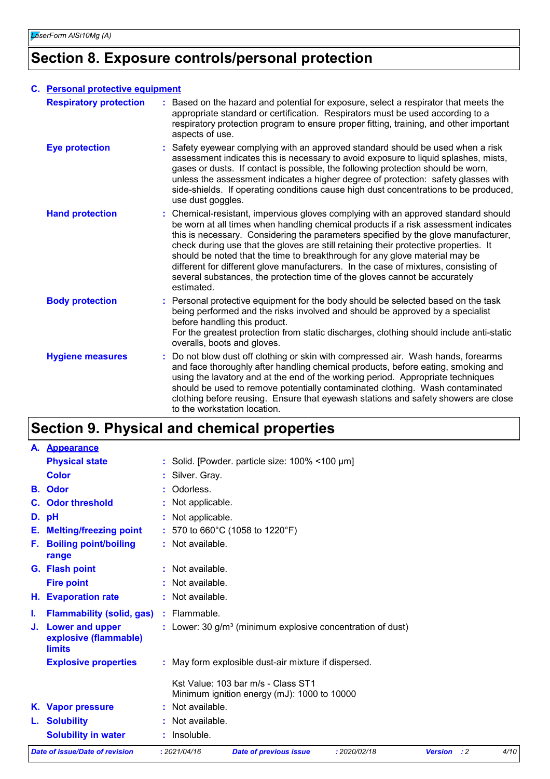### **Section 8. Exposure controls/personal protection**

| C. Personal protective equipment |                                                                                                                                                                                                                                                                                                                                                                                                                                                                                                                                                                                                                           |  |
|----------------------------------|---------------------------------------------------------------------------------------------------------------------------------------------------------------------------------------------------------------------------------------------------------------------------------------------------------------------------------------------------------------------------------------------------------------------------------------------------------------------------------------------------------------------------------------------------------------------------------------------------------------------------|--|
| <b>Respiratory protection</b>    | : Based on the hazard and potential for exposure, select a respirator that meets the<br>appropriate standard or certification. Respirators must be used according to a<br>respiratory protection program to ensure proper fitting, training, and other important<br>aspects of use.                                                                                                                                                                                                                                                                                                                                       |  |
| <b>Eye protection</b>            | : Safety eyewear complying with an approved standard should be used when a risk<br>assessment indicates this is necessary to avoid exposure to liquid splashes, mists,<br>gases or dusts. If contact is possible, the following protection should be worn,<br>unless the assessment indicates a higher degree of protection: safety glasses with<br>side-shields. If operating conditions cause high dust concentrations to be produced,<br>use dust goggles.                                                                                                                                                             |  |
| <b>Hand protection</b>           | : Chemical-resistant, impervious gloves complying with an approved standard should<br>be worn at all times when handling chemical products if a risk assessment indicates<br>this is necessary. Considering the parameters specified by the glove manufacturer,<br>check during use that the gloves are still retaining their protective properties. It<br>should be noted that the time to breakthrough for any glove material may be<br>different for different glove manufacturers. In the case of mixtures, consisting of<br>several substances, the protection time of the gloves cannot be accurately<br>estimated. |  |
| <b>Body protection</b>           | : Personal protective equipment for the body should be selected based on the task<br>being performed and the risks involved and should be approved by a specialist<br>before handling this product.<br>For the greatest protection from static discharges, clothing should include anti-static<br>overalls, boots and gloves.                                                                                                                                                                                                                                                                                             |  |
| <b>Hygiene measures</b>          | Do not blow dust off clothing or skin with compressed air. Wash hands, forearms<br>and face thoroughly after handling chemical products, before eating, smoking and<br>using the lavatory and at the end of the working period. Appropriate techniques<br>should be used to remove potentially contaminated clothing. Wash contaminated<br>clothing before reusing. Ensure that eyewash stations and safety showers are close<br>to the workstation location.                                                                                                                                                             |  |

# **Section 9. Physical and chemical properties**

|    | <b>Date of issue/Date of revision</b>                            | : 2021/04/16     | <b>Date of previous issue</b>                                                     | : 2020/02/18 | <b>Version</b> : 2 | 4/10 |
|----|------------------------------------------------------------------|------------------|-----------------------------------------------------------------------------------|--------------|--------------------|------|
|    | <b>Solubility in water</b>                                       | : Insoluble.     |                                                                                   |              |                    |      |
|    | L. Solubility                                                    | Not available.   |                                                                                   |              |                    |      |
|    | K. Vapor pressure                                                | Not available.   |                                                                                   |              |                    |      |
|    |                                                                  |                  | Kst Value: 103 bar m/s - Class ST1<br>Minimum ignition energy (mJ): 1000 to 10000 |              |                    |      |
|    | <b>Explosive properties</b>                                      |                  | : May form explosible dust-air mixture if dispersed.                              |              |                    |      |
| J. | <b>Lower and upper</b><br>explosive (flammable)<br><b>limits</b> |                  | : Lower: 30 $g/m3$ (minimum explosive concentration of dust)                      |              |                    |      |
| ı. | <b>Flammability (solid, gas)</b>                                 | $:$ Flammable.   |                                                                                   |              |                    |      |
|    | H. Evaporation rate                                              | : Not available. |                                                                                   |              |                    |      |
|    | <b>Fire point</b>                                                | : Not available. |                                                                                   |              |                    |      |
|    | G. Flash point                                                   | : Not available. |                                                                                   |              |                    |      |
|    | F. Boiling point/boiling<br>range                                | : Not available. |                                                                                   |              |                    |      |
|    | E. Melting/freezing point                                        |                  | : 570 to 660°C (1058 to 1220°F)                                                   |              |                    |      |
|    | D. pH                                                            | Not applicable.  |                                                                                   |              |                    |      |
|    | <b>C.</b> Odor threshold                                         | Not applicable.  |                                                                                   |              |                    |      |
|    | <b>B.</b> Odor                                                   | Odorless.        |                                                                                   |              |                    |      |
|    | <b>Color</b>                                                     | : Silver. Gray.  |                                                                                   |              |                    |      |
|    | <b>Physical state</b>                                            |                  | : Solid. [Powder. particle size: $100\%$ < $100 \mu m$ ]                          |              |                    |      |
|    | A. Appearance                                                    |                  |                                                                                   |              |                    |      |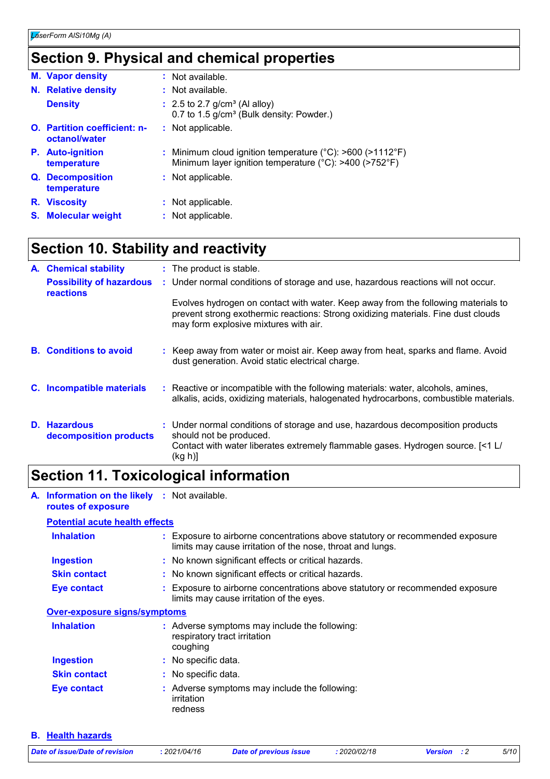### **Section 9. Physical and chemical properties**

| <b>M.</b> Vapor density                              | $:$ Not available.                                                                                                                        |
|------------------------------------------------------|-------------------------------------------------------------------------------------------------------------------------------------------|
| N. Relative density                                  | $:$ Not available.                                                                                                                        |
| <b>Density</b>                                       | $\div$ 2.5 to 2.7 g/cm <sup>3</sup> (Al alloy)<br>0.7 to 1.5 g/cm <sup>3</sup> (Bulk density: Powder.)                                    |
| <b>O.</b> Partition coefficient: n-<br>octanol/water | : Not applicable.                                                                                                                         |
| <b>P.</b> Auto-ignition<br>temperature               | : Minimum cloud ignition temperature ( $^{\circ}$ C): >600 (>1112 $^{\circ}$ F)<br>Minimum layer ignition temperature (°C): >400 (>752°F) |
| Q. Decomposition<br>temperature                      | : Not applicable.                                                                                                                         |
| R. Viscosity                                         | : Not applicable.                                                                                                                         |
| <b>S.</b> Molecular weight                           | : Not applicable.                                                                                                                         |

### **Section 10. Stability and reactivity**

| A. Chemical stability                               | : The product is stable.                                                                                                                                                                                        |
|-----------------------------------------------------|-----------------------------------------------------------------------------------------------------------------------------------------------------------------------------------------------------------------|
| <b>Possibility of hazardous</b><br><b>reactions</b> | : Under normal conditions of storage and use, hazardous reactions will not occur.                                                                                                                               |
|                                                     | Evolves hydrogen on contact with water. Keep away from the following materials to<br>prevent strong exothermic reactions: Strong oxidizing materials. Fine dust clouds<br>may form explosive mixtures with air. |
| <b>B.</b> Conditions to avoid                       | : Keep away from water or moist air. Keep away from heat, sparks and flame. Avoid<br>dust generation. Avoid static electrical charge.                                                                           |
| C. Incompatible materials                           | : Reactive or incompatible with the following materials: water, alcohols, amines,<br>alkalis, acids, oxidizing materials, halogenated hydrocarbons, combustible materials.                                      |
| D. Hazardous<br>decomposition products              | : Under normal conditions of storage and use, hazardous decomposition products<br>should not be produced.<br>Contact with water liberates extremely flammable gases. Hydrogen source. [<1 L/<br>(kg h)]         |

## **Section 11. Toxicological information**

**A. Information on the likely :** Not available. **routes of exposure**

#### **Potential acute health effects**

| <b>Inhalation</b>                   | : Exposure to airborne concentrations above statutory or recommended exposure<br>limits may cause irritation of the nose, throat and lungs. |
|-------------------------------------|---------------------------------------------------------------------------------------------------------------------------------------------|
| <b>Ingestion</b>                    | : No known significant effects or critical hazards.                                                                                         |
| <b>Skin contact</b>                 | : No known significant effects or critical hazards.                                                                                         |
| Eye contact                         | : Exposure to airborne concentrations above statutory or recommended exposure<br>limits may cause irritation of the eyes.                   |
| <b>Over-exposure signs/symptoms</b> |                                                                                                                                             |
| <b>Inhalation</b>                   | : Adverse symptoms may include the following:<br>respiratory tract irritation<br>coughing                                                   |
| <b>Ingestion</b>                    | $\therefore$ No specific data.                                                                                                              |
| <b>Skin contact</b>                 | : No specific data.                                                                                                                         |
| Eye contact                         | : Adverse symptoms may include the following:<br>irritation<br>redness                                                                      |

**B. Health hazards**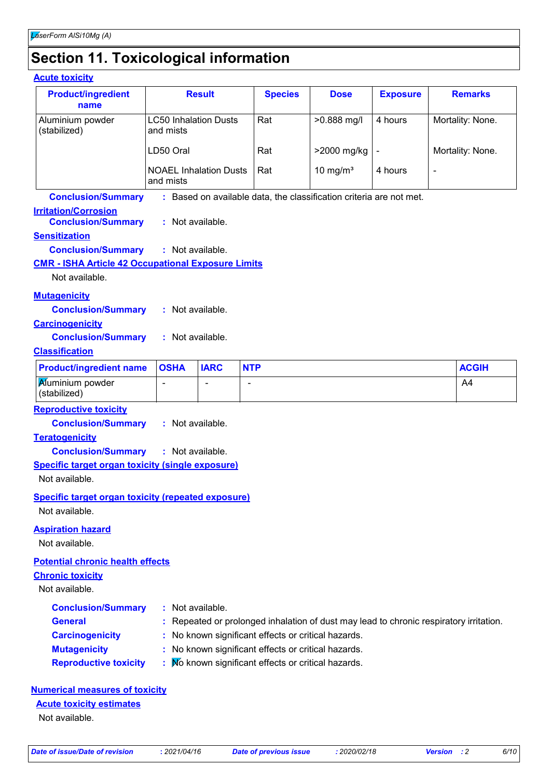# **Section 11. Toxicological information**

#### **Acute toxicity**

| <b>Product/ingredient</b><br>name                                           |                                            | <b>Result</b> | <b>Species</b>                                      | <b>Dose</b>                                                         | <b>Exposure</b> | <b>Remarks</b>                                                                         |
|-----------------------------------------------------------------------------|--------------------------------------------|---------------|-----------------------------------------------------|---------------------------------------------------------------------|-----------------|----------------------------------------------------------------------------------------|
| Aluminium powder<br>(stabilized)                                            | <b>LC50 Inhalation Dusts</b><br>and mists  |               | Rat                                                 | >0.888 mg/l                                                         | 4 hours         | Mortality: None.                                                                       |
|                                                                             | LD50 Oral                                  |               | Rat                                                 | >2000 mg/kg                                                         | $\blacksquare$  | Mortality: None.                                                                       |
|                                                                             | <b>NOAEL Inhalation Dusts</b><br>and mists |               | Rat                                                 | 10 mg/ $m3$                                                         | 4 hours         | $\blacksquare$                                                                         |
| <b>Conclusion/Summary</b>                                                   |                                            |               |                                                     | : Based on available data, the classification criteria are not met. |                 |                                                                                        |
| <b>Irritation/Corrosion</b><br><b>Conclusion/Summary</b>                    | : Not available.                           |               |                                                     |                                                                     |                 |                                                                                        |
| <b>Sensitization</b>                                                        |                                            |               |                                                     |                                                                     |                 |                                                                                        |
| <b>Conclusion/Summary</b>                                                   | : Not available.                           |               |                                                     |                                                                     |                 |                                                                                        |
| <b>CMR - ISHA Article 42 Occupational Exposure Limits</b>                   |                                            |               |                                                     |                                                                     |                 |                                                                                        |
| Not available.                                                              |                                            |               |                                                     |                                                                     |                 |                                                                                        |
| <b>Mutagenicity</b>                                                         |                                            |               |                                                     |                                                                     |                 |                                                                                        |
| <b>Conclusion/Summary</b>                                                   | : Not available.                           |               |                                                     |                                                                     |                 |                                                                                        |
| <b>Carcinogenicity</b>                                                      |                                            |               |                                                     |                                                                     |                 |                                                                                        |
| <b>Conclusion/Summary</b>                                                   | : Not available.                           |               |                                                     |                                                                     |                 |                                                                                        |
| <b>Classification</b>                                                       |                                            |               |                                                     |                                                                     |                 |                                                                                        |
| <b>Product/ingredient name</b>                                              | <b>OSHA</b>                                | <b>IARC</b>   | <b>NTP</b>                                          |                                                                     |                 | <b>ACGIH</b>                                                                           |
| Muminium powder<br>(stabilized)                                             |                                            |               | $\overline{\phantom{a}}$                            |                                                                     |                 | A4                                                                                     |
| <b>Reproductive toxicity</b>                                                |                                            |               |                                                     |                                                                     |                 |                                                                                        |
| <b>Conclusion/Summary</b>                                                   | : Not available.                           |               |                                                     |                                                                     |                 |                                                                                        |
| <b>Teratogenicity</b>                                                       |                                            |               |                                                     |                                                                     |                 |                                                                                        |
| <b>Conclusion/Summary</b>                                                   | : Not available.                           |               |                                                     |                                                                     |                 |                                                                                        |
| <b>Specific target organ toxicity (single exposure)</b>                     |                                            |               |                                                     |                                                                     |                 |                                                                                        |
| Not available.                                                              |                                            |               |                                                     |                                                                     |                 |                                                                                        |
| <b>Specific target organ toxicity (repeated exposure)</b><br>Not available. |                                            |               |                                                     |                                                                     |                 |                                                                                        |
| <b>Aspiration hazard</b><br>Not available.                                  |                                            |               |                                                     |                                                                     |                 |                                                                                        |
| <b>Potential chronic health effects</b>                                     |                                            |               |                                                     |                                                                     |                 |                                                                                        |
| <b>Chronic toxicity</b>                                                     |                                            |               |                                                     |                                                                     |                 |                                                                                        |
|                                                                             |                                            |               |                                                     |                                                                     |                 |                                                                                        |
| Not available.                                                              |                                            |               |                                                     |                                                                     |                 |                                                                                        |
| <b>Conclusion/Summary</b>                                                   | : Not available.                           |               |                                                     |                                                                     |                 |                                                                                        |
| <b>General</b>                                                              |                                            |               |                                                     |                                                                     |                 |                                                                                        |
| <b>Carcinogenicity</b>                                                      |                                            |               | : No known significant effects or critical hazards. |                                                                     |                 |                                                                                        |
| <b>Mutagenicity</b>                                                         |                                            |               | : No known significant effects or critical hazards. |                                                                     |                 | : Repeated or prolonged inhalation of dust may lead to chronic respiratory irritation. |

Not available.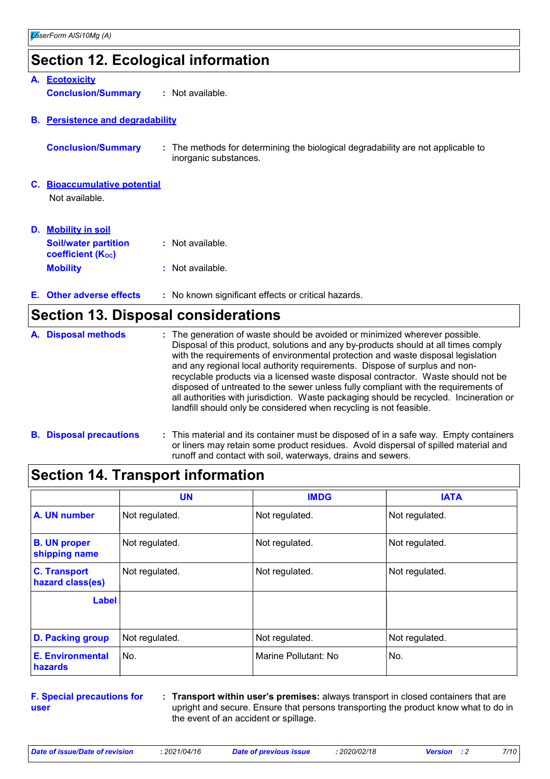### **Section 12. Ecological information**

|    | A. Ecotoxicity                                          |                                                                                                           |
|----|---------------------------------------------------------|-----------------------------------------------------------------------------------------------------------|
|    | <b>Conclusion/Summary</b>                               | : Not available.                                                                                          |
|    | <b>B.</b> Persistence and degradability                 |                                                                                                           |
|    | <b>Conclusion/Summary</b>                               | : The methods for determining the biological degradability are not applicable to<br>inorganic substances. |
|    | <b>C.</b> Bioaccumulative potential                     |                                                                                                           |
|    | Not available.                                          |                                                                                                           |
| D. | <b>Mobility in soil</b>                                 |                                                                                                           |
|    | <b>Soil/water partition</b><br><b>coefficient (Koc)</b> | : Not available.                                                                                          |
|    | <b>Mobility</b>                                         | : Not available.                                                                                          |
|    | E. Other adverse effects                                | : No known significant effects or critical hazards.                                                       |

#### **Section 13. Disposal considerations**

| A. Disposal methods | : The generation of waste should be avoided or minimized wherever possible.<br>Disposal of this product, solutions and any by-products should at all times comply<br>with the requirements of environmental protection and waste disposal legislation<br>and any regional local authority requirements. Dispose of surplus and non-<br>recyclable products via a licensed waste disposal contractor. Waste should not be<br>disposed of untreated to the sewer unless fully compliant with the requirements of<br>all authorities with jurisdiction. Waste packaging should be recycled. Incineration or<br>landfill should only be considered when recycling is not feasible. |
|---------------------|--------------------------------------------------------------------------------------------------------------------------------------------------------------------------------------------------------------------------------------------------------------------------------------------------------------------------------------------------------------------------------------------------------------------------------------------------------------------------------------------------------------------------------------------------------------------------------------------------------------------------------------------------------------------------------|
|---------------------|--------------------------------------------------------------------------------------------------------------------------------------------------------------------------------------------------------------------------------------------------------------------------------------------------------------------------------------------------------------------------------------------------------------------------------------------------------------------------------------------------------------------------------------------------------------------------------------------------------------------------------------------------------------------------------|

| <b>B.</b> Disposal precautions | : This material and its container must be disposed of in a safe way. Empty containers |
|--------------------------------|---------------------------------------------------------------------------------------|
|                                | or liners may retain some product residues. Avoid dispersal of spilled material and   |
|                                | runoff and contact with soil, waterways, drains and sewers.                           |

|                                         | <b>UN</b>      | <b>IMDG</b>          | <b>IATA</b>    |
|-----------------------------------------|----------------|----------------------|----------------|
| A. UN number                            | Not regulated. | Not regulated.       | Not regulated. |
| <b>B. UN proper</b><br>shipping name    | Not regulated. | Not regulated.       | Not regulated. |
| <b>C. Transport</b><br>hazard class(es) | Not regulated. | Not regulated.       | Not regulated. |
| Label                                   |                |                      |                |
| <b>D. Packing group</b>                 | Not regulated. | Not regulated.       | Not regulated. |
| <b>E. Environmental</b><br>hazards      | No.            | Marine Pollutant: No | No.            |

**F. Special precautions for user**

**Transport within user's premises:** always transport in closed containers that are **:** upright and secure. Ensure that persons transporting the product know what to do in the event of an accident or spillage.

a l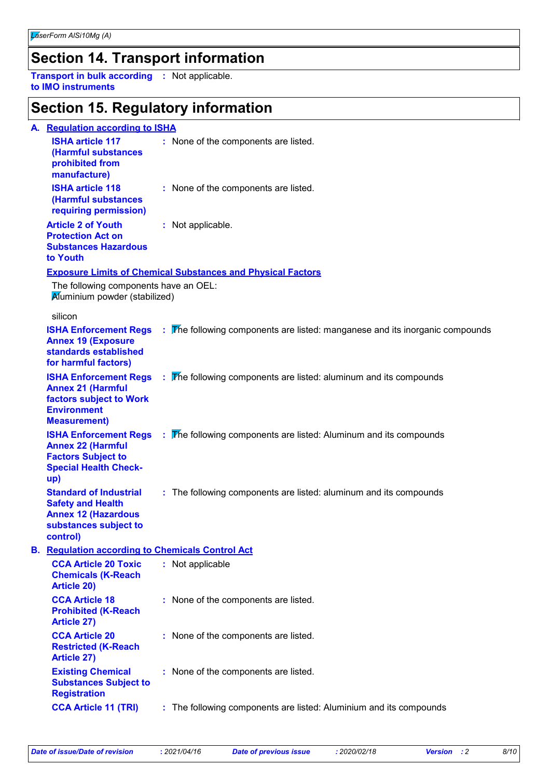### **Section 14. Transport information**

**Transport in bulk according :** Not applicable. **to IMO instruments**

#### **Section 15. Regulatory information**

#### **A. Regulation according to ISHA ISHA article 117 :** None of the components are listed.

| <u>IVIIA ULUVIV I II</u><br>(Harmful substances<br>prohibited from<br>manufacture) | <b>THE REPORT OF A REPORT OF THE STATE IN THE STATE</b> |  |
|------------------------------------------------------------------------------------|---------------------------------------------------------|--|
| <b>ISHA article 118</b><br>(Harmful substances<br>requiring permission)            | : None of the components are listed.                    |  |
| Article 2 of Youth                                                                 | : Not applicable.                                       |  |

#### **Article 2 of Youth Protection Act on Substances Hazardous to Youth**

#### **Exposure Limits of Chemical Substances and Physical Factors**

Aluminium powder (stabilized) The following components have an OEL:

#### silicon

**B.**

| આા∪∪ા                                                                                                                             |                                                                               |
|-----------------------------------------------------------------------------------------------------------------------------------|-------------------------------------------------------------------------------|
| <b>ISHA Enforcement Regs</b><br><b>Annex 19 (Exposure</b><br>standards established<br>for harmful factors)                        | The following components are listed: manganese and its inorganic compounds    |
| <b>ISHA Enforcement Regs</b><br><b>Annex 21 (Harmful</b><br>factors subject to Work<br><b>Environment</b><br><b>Measurement</b> ) | $\frac{1}{2}$ The following components are listed: aluminum and its compounds |
| <b>ISHA Enforcement Regs</b><br><b>Annex 22 (Harmful</b><br><b>Factors Subject to</b><br><b>Special Health Check-</b><br>up)      | $\therefore$ The following components are listed: Aluminum and its compounds  |
| <b>Standard of Industrial</b><br><b>Safety and Health</b><br><b>Annex 12 (Hazardous</b><br>substances subject to<br>control)      | : The following components are listed: aluminum and its compounds             |
| <b>Regulation according to Chemicals Control Act</b>                                                                              |                                                                               |
| <b>CCA Article 20 Toxic</b><br><b>Chemicals (K-Reach</b><br><b>Article 20)</b>                                                    | : Not applicable                                                              |
| <b>CCA Article 18</b><br><b>Prohibited (K-Reach</b><br><b>Article 27)</b>                                                         | : None of the components are listed.                                          |
| <b>CCA Article 20</b><br><b>Restricted (K-Reach</b><br><b>Article 27)</b>                                                         | : None of the components are listed.                                          |
| <b>Existing Chemical</b><br><b>Substances Subject to</b><br><b>Registration</b>                                                   | : None of the components are listed.                                          |
| <b>CCA Article 11 (TRI)</b>                                                                                                       | : The following components are listed: Aluminium and its compounds            |
|                                                                                                                                   |                                                                               |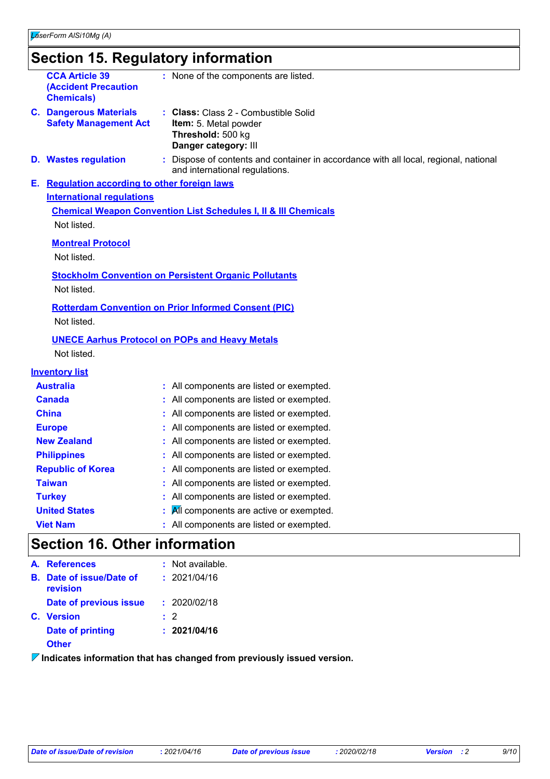#### **Section 15. Regulatory information**

| <b>CCA Article 39</b><br><b>(Accident Precaution</b><br><b>Chemicals)</b>                                                                             |  | : None of the components are listed.                                                                       |  |  |  |  |
|-------------------------------------------------------------------------------------------------------------------------------------------------------|--|------------------------------------------------------------------------------------------------------------|--|--|--|--|
| <b>C. Dangerous Materials</b><br><b>Safety Management Act</b>                                                                                         |  | : Class: Class 2 - Combustible Solid<br>Item: 5. Metal powder<br>Threshold: 500 kg<br>Danger category: III |  |  |  |  |
| : Dispose of contents and container in accordance with all local, regional, national<br><b>D.</b> Wastes regulation<br>and international regulations. |  |                                                                                                            |  |  |  |  |
| E. Regulation according to other foreign laws                                                                                                         |  |                                                                                                            |  |  |  |  |
| <b>International regulations</b>                                                                                                                      |  |                                                                                                            |  |  |  |  |
|                                                                                                                                                       |  | <b>Chemical Weapon Convention List Schedules I, II &amp; III Chemicals</b>                                 |  |  |  |  |
| Not listed.                                                                                                                                           |  |                                                                                                            |  |  |  |  |
| <b>Montreal Protocol</b>                                                                                                                              |  |                                                                                                            |  |  |  |  |
| Not listed.                                                                                                                                           |  |                                                                                                            |  |  |  |  |
|                                                                                                                                                       |  |                                                                                                            |  |  |  |  |
| <b>Stockholm Convention on Persistent Organic Pollutants</b><br>Not listed.                                                                           |  |                                                                                                            |  |  |  |  |
|                                                                                                                                                       |  |                                                                                                            |  |  |  |  |
|                                                                                                                                                       |  | <b>Rotterdam Convention on Prior Informed Consent (PIC)</b>                                                |  |  |  |  |
| Not listed.                                                                                                                                           |  |                                                                                                            |  |  |  |  |
|                                                                                                                                                       |  | <b>UNECE Aarhus Protocol on POPs and Heavy Metals</b>                                                      |  |  |  |  |
| Not listed.                                                                                                                                           |  |                                                                                                            |  |  |  |  |
| <b>Inventory list</b>                                                                                                                                 |  |                                                                                                            |  |  |  |  |
| <b>Australia</b>                                                                                                                                      |  | : All components are listed or exempted.                                                                   |  |  |  |  |
| <b>Canada</b>                                                                                                                                         |  | : All components are listed or exempted.                                                                   |  |  |  |  |
| <b>China</b>                                                                                                                                          |  | All components are listed or exempted.                                                                     |  |  |  |  |
| <b>Europe</b>                                                                                                                                         |  | All components are listed or exempted.                                                                     |  |  |  |  |
| <b>New Zealand</b>                                                                                                                                    |  | All components are listed or exempted.                                                                     |  |  |  |  |
| <b>Philippines</b>                                                                                                                                    |  | All components are listed or exempted.                                                                     |  |  |  |  |
| <b>Republic of Korea</b>                                                                                                                              |  | All components are listed or exempted.                                                                     |  |  |  |  |
| <b>Taiwan</b>                                                                                                                                         |  | All components are listed or exempted.                                                                     |  |  |  |  |
| <b>Turkey</b>                                                                                                                                         |  | All components are listed or exempted.                                                                     |  |  |  |  |
| <b>United States</b>                                                                                                                                  |  | All components are active or exempted.                                                                     |  |  |  |  |

**Viet Nam :** All components are listed or exempted.

### **Section 16. Other information**

|    | A. References                     | $:$ Not available. |
|----|-----------------------------------|--------------------|
| В. | Date of issue/Date of<br>revision | : 2021/04/16       |
|    | Date of previous issue            | : 2020/02/18       |
|    | C. Version                        | $\cdot$ 2          |
|    | <b>Date of printing</b>           | : 2021/04/16       |
|    | <b>Other</b>                      |                    |

**Indicates information that has changed from previously issued version.**